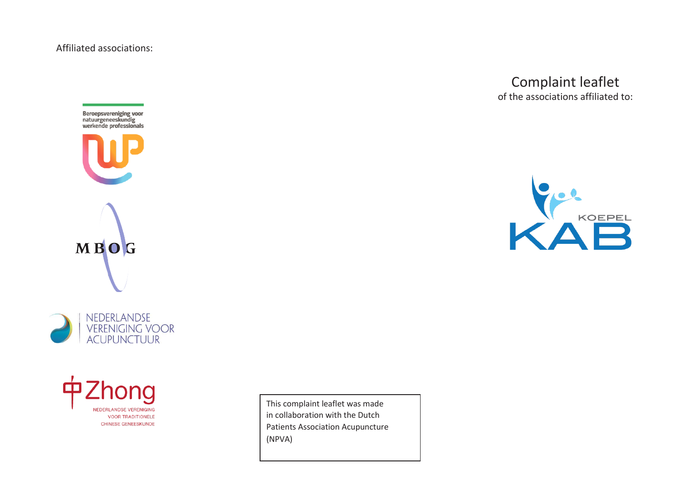Affiliated associations:







This complaint leaflet was made in collaboration with the Dutch Patients Association Acupuncture (NPVA)

## Complaint leaflet of the associations affiliated to: